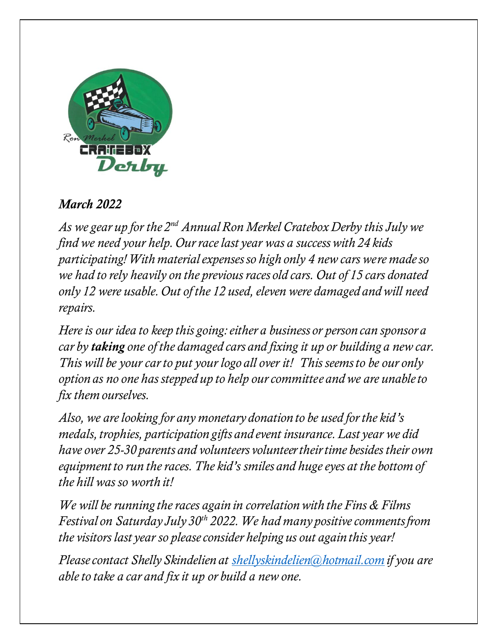

## *March 2022*

*As we gear up for the 2nd Annual Ron Merkel Cratebox Derby this July we find we need your help. Our race last year was a success with 24 kids participating! With material expenses so high only 4 new cars were madeso we had to rely heavily on the previous races old cars. Out of 15 cars donated only 12 were usable. Out of the 12 used, eleven were damaged and will need repairs.* 

*Here is our idea to keep this going: either a business or person can sponsor a car by taking one of the damaged cars and fixing it up or building a new car. This will be your car to put your logo all over it! This seems to be our only option as no one has stepped up to help our committee and we are unable to fix them ourselves.* 

*Also, we are looking for any monetary donation to be used for the kid's medals, trophies, participation gifts and event insurance. Last year we did have over 25-30 parents and volunteers volunteer their time besides their own equipment to run the races. The kid's smiles and huge eyes at the bottom of the hill was so worth it!* 

*We will be running the races again in correlation with the Fins & Films Festival on Saturday July 30th 2022. We had many positive comments from the visitors last year so please consider helping us out again this year!*

*Please contact Shelly Skindelien at [shellyskindelien@hotmail.com](mailto:shellyskindelien@hotmail.com) if you are able to take a car and fix it up or build a new one.*